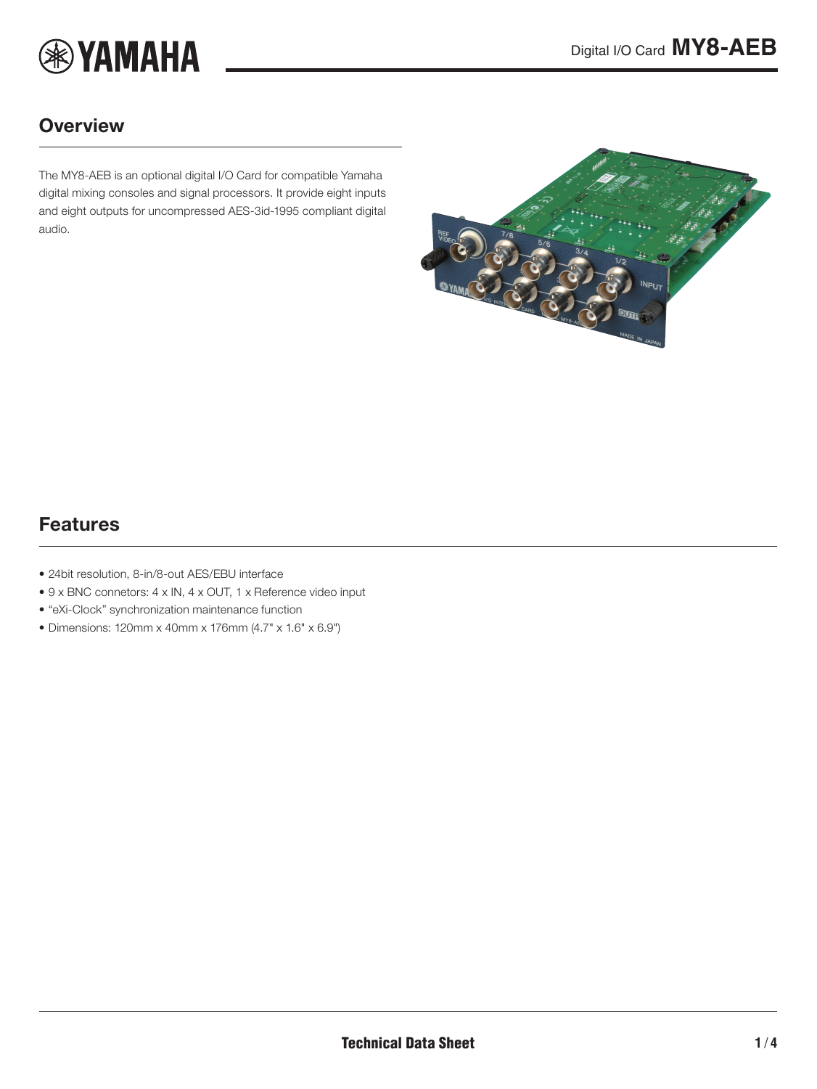

### **Overview**

The MY8-AEB is an optional digital I/O Card for compatible Yamaha digital mixing consoles and signal processors. It provide eight inputs and eight outputs for uncompressed AES-3id-1995 compliant digital audio.

<span id="page-0-0"></span>

### Features

- 24bit resolution, 8-in/8-out AES/EBU interface
- 9 x BNC connetors: 4 x IN, 4 x OUT, 1 x Reference video input
- "eXi-Clock" synchronization maintenance function
- Dimensions: 120mm x 40mm x 176mm (4.7" x 1.6" x 6.9")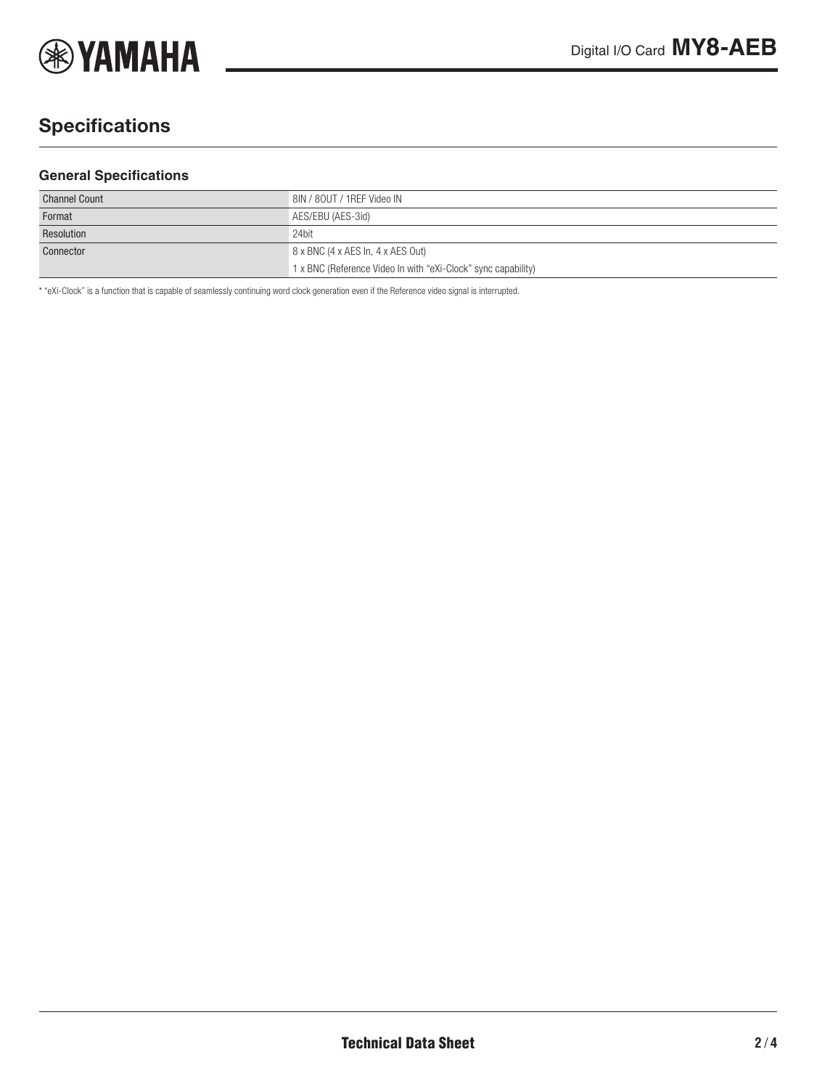

# **Specifications**

#### **General Specifications**

| <b>Channel Count</b> | 8IN / 80UT / 1REF Video IN                                    |
|----------------------|---------------------------------------------------------------|
| Format               | AES/EBU (AES-3id)                                             |
| Resolution           | 24bit                                                         |
| Connector            | 8 x BNC (4 x AES In, 4 x AES Out)                             |
|                      | 1 x BNC (Reference Video In with "eXi-Clock" sync capability) |

\* "eXi-Clock" is a function that is capable of seamlessly continuing word clock generation even if the Reference video signal is interrupted.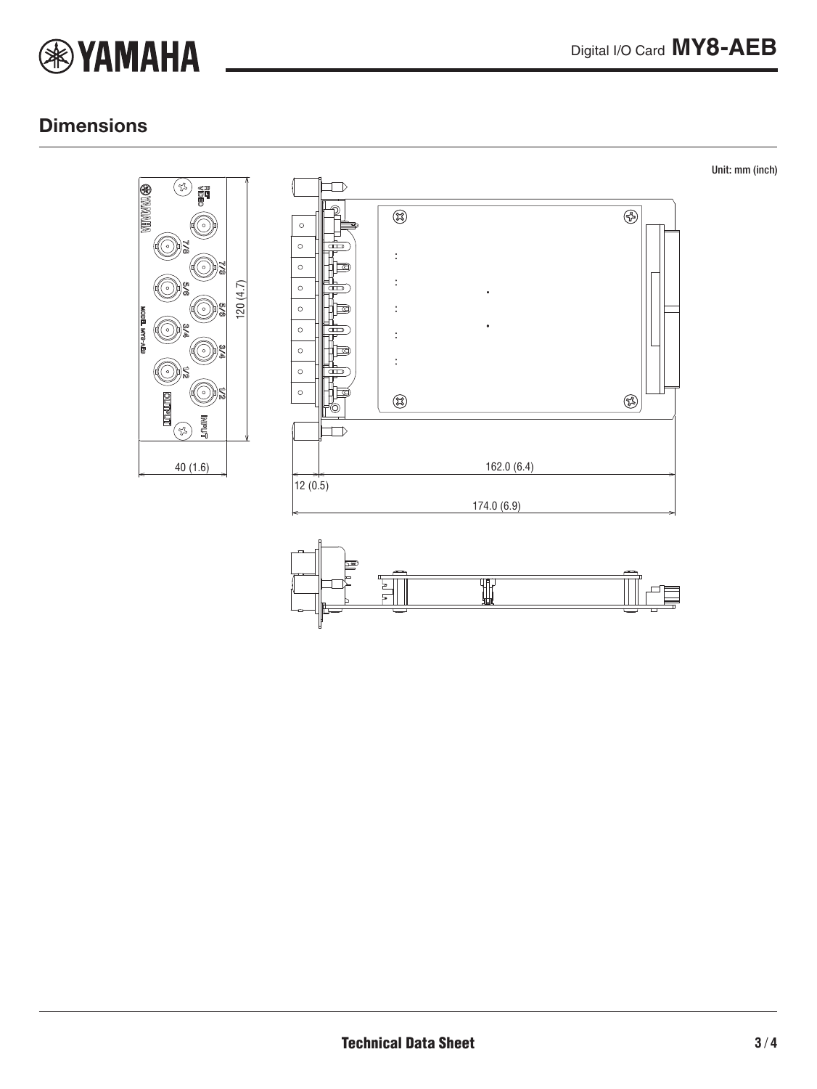

### **Dimensions**